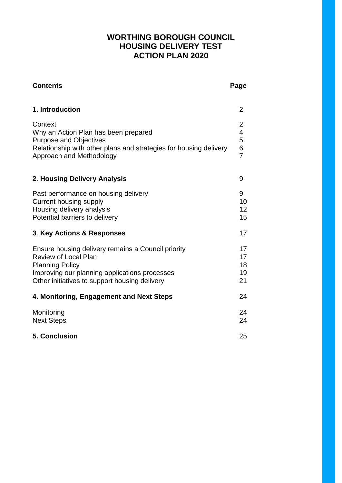# **WORTHING BOROUGH COUNCIL HOUSING DELIVERY TEST ACTION PLAN 2020**

| <b>Contents</b>                                                                                                                                                                                               | Page                                                                        |
|---------------------------------------------------------------------------------------------------------------------------------------------------------------------------------------------------------------|-----------------------------------------------------------------------------|
| 1. Introduction                                                                                                                                                                                               | $\overline{2}$                                                              |
| Context<br>Why an Action Plan has been prepared<br><b>Purpose and Objectives</b><br>Relationship with other plans and strategies for housing delivery<br>Approach and Methodology                             | $\overline{2}$<br>$\overline{\mathbf{4}}$<br>5<br>$\,6\,$<br>$\overline{7}$ |
| 2. Housing Delivery Analysis                                                                                                                                                                                  | 9                                                                           |
| Past performance on housing delivery<br><b>Current housing supply</b><br>Housing delivery analysis<br>Potential barriers to delivery                                                                          | 9<br>10<br>12<br>15                                                         |
| <b>3. Key Actions &amp; Responses</b>                                                                                                                                                                         | 17                                                                          |
| Ensure housing delivery remains a Council priority<br><b>Review of Local Plan</b><br><b>Planning Policy</b><br>Improving our planning applications processes<br>Other initiatives to support housing delivery | 17<br>17<br>18<br>19<br>21                                                  |
| 4. Monitoring, Engagement and Next Steps                                                                                                                                                                      | 24                                                                          |
| Monitoring<br><b>Next Steps</b>                                                                                                                                                                               | 24<br>24                                                                    |
| <b>5. Conclusion</b>                                                                                                                                                                                          | 25                                                                          |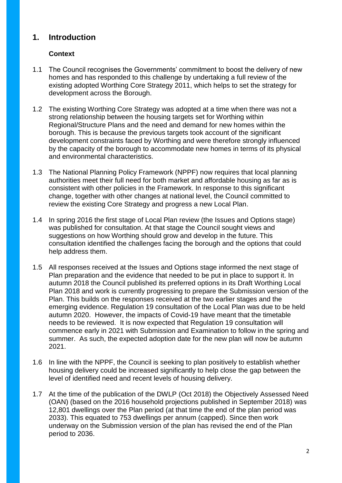# **1. Introduction**

# **Context**

- 1.1 The Council recognises the Governments' commitment to boost the delivery of new homes and has responded to this challenge by undertaking a full review of the existing adopted Worthing Core Strategy 2011, which helps to set the strategy for development across the Borough.
- 1.2 The existing Worthing Core Strategy was adopted at a time when there was not a strong relationship between the housing targets set for Worthing within Regional/Structure Plans and the need and demand for new homes within the borough. This is because the previous targets took account of the significant development constraints faced by Worthing and were therefore strongly influenced by the capacity of the borough to accommodate new homes in terms of its physical and environmental characteristics.
- 1.3 The National Planning Policy Framework (NPPF) now requires that local planning authorities meet their full need for both market and affordable housing as far as is consistent with other policies in the Framework. In response to this significant change, together with other changes at national level, the Council committed to review the existing Core Strategy and progress a new Local Plan.
- 1.4 In spring 2016 the first stage of Local Plan review (the Issues and Options stage) was published for consultation. At that stage the Council sought views and suggestions on how Worthing should grow and develop in the future. This consultation identified the challenges facing the borough and the options that could help address them.
- 1.5 All responses received at the Issues and Options stage informed the next stage of Plan preparation and the evidence that needed to be put in place to support it. In autumn 2018 the Council published its preferred options in its Draft Worthing Local Plan 2018 and work is currently progressing to prepare the Submission version of the Plan. This builds on the responses received at the two earlier stages and the emerging evidence. Regulation 19 consultation of the Local Plan was due to be held autumn 2020. However, the impacts of Covid-19 have meant that the timetable needs to be reviewed. It is now expected that Regulation 19 consultation will commence early in 2021 with Submission and Examination to follow in the spring and summer. As such, the expected adoption date for the new plan will now be autumn 2021.
- 1.6 In line with the NPPF, the Council is seeking to plan positively to establish whether housing delivery could be increased significantly to help close the gap between the level of identified need and recent levels of housing delivery.
- 1.7 At the time of the publication of the DWLP (Oct 2018) the Objectively Assessed Need (OAN) (based on the 2016 household projections published in September 2018) was 12,801 dwellings over the Plan period (at that time the end of the plan period was 2033). This equated to 753 dwellings per annum (capped). Since then work underway on the Submission version of the plan has revised the end of the Plan period to 2036.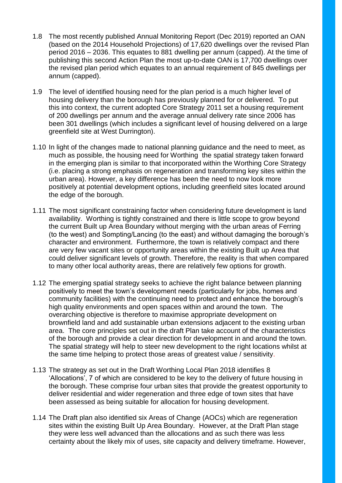- 1.8 The most recently published Annual Monitoring Report (Dec 2019) reported an OAN (based on the 2014 Household Projections) of 17,620 dwellings over the revised Plan period 2016 – 2036. This equates to 881 dwelling per annum (capped). At the time of publishing this second Action Plan the most up-to-date OAN is 17,700 dwellings over the revised plan period which equates to an annual requirement of 845 dwellings per annum (capped).
- 1.9 The level of identified housing need for the plan period is a much higher level of housing delivery than the borough has previously planned for or delivered. To put this into context, the current adopted Core Strategy 2011 set a housing requirement of 200 dwellings per annum and the average annual delivery rate since 2006 has been 301 dwellings (which includes a significant level of housing delivered on a large greenfield site at West Durrington).
- 1.10 In light of the changes made to national planning guidance and the need to meet, as much as possible, the housing need for Worthing the spatial strategy taken forward in the emerging plan is similar to that incorporated within the Worthing Core Strategy (i.e. placing a strong emphasis on regeneration and transforming key sites within the urban area). However, a key difference has been the need to now look more positively at potential development options, including greenfield sites located around the edge of the borough.
- 1.11 The most significant constraining factor when considering future development is land availability. Worthing is tightly constrained and there is little scope to grow beyond the current Built up Area Boundary without merging with the urban areas of Ferring (to the west) and Sompting/Lancing (to the east) and without damaging the borough's character and environment. Furthermore, the town is relatively compact and there are very few vacant sites or opportunity areas within the existing Built up Area that could deliver significant levels of growth. Therefore, the reality is that when compared to many other local authority areas, there are relatively few options for growth.
- 1.12 The emerging spatial strategy seeks to achieve the right balance between planning positively to meet the town's development needs (particularly for jobs, homes and community facilities) with the continuing need to protect and enhance the borough's high quality environments and open spaces within and around the town. The overarching objective is therefore to maximise appropriate development on brownfield land and add sustainable urban extensions adjacent to the existing urban area. The core principles set out in the draft Plan take account of the characteristics of the borough and provide a clear direction for development in and around the town. The spatial strategy will help to steer new development to the right locations whilst at the same time helping to protect those areas of greatest value / sensitivity.
- 1.13 The strategy as set out in the Draft Worthing Local Plan 2018 identifies 8 'Allocations', 7 of which are considered to be key to the delivery of future housing in the borough. These comprise four urban sites that provide the greatest opportunity to deliver residential and wider regeneration and three edge of town sites that have been assessed as being suitable for allocation for housing development.
- 1.14 The Draft plan also identified six Areas of Change (AOCs) which are regeneration sites within the existing Built Up Area Boundary. However, at the Draft Plan stage they were less well advanced than the allocations and as such there was less certainty about the likely mix of uses, site capacity and delivery timeframe. However,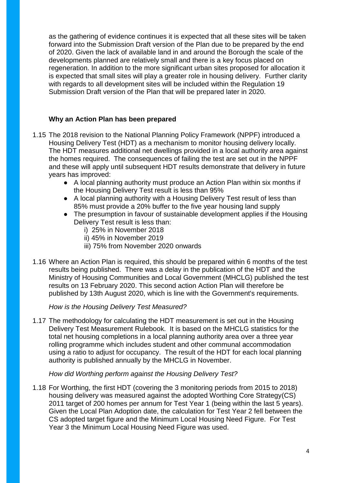as the gathering of evidence continues it is expected that all these sites will be taken forward into the Submission Draft version of the Plan due to be prepared by the end of 2020. Given the lack of available land in and around the Borough the scale of the developments planned are relatively small and there is a key focus placed on regeneration. In addition to the more significant urban sites proposed for allocation it is expected that small sites will play a greater role in housing delivery. Further clarity with regards to all development sites will be included within the Regulation 19 Submission Draft version of the Plan that will be prepared later in 2020.

### **Why an Action Plan has been prepared**

- 1.15 The 2018 revision to the National Planning Policy Framework (NPPF) introduced a Housing Delivery Test (HDT) as a mechanism to monitor housing delivery locally. The HDT measures additional net dwellings provided in a local authority area against the homes required. The consequences of failing the test are set out in the NPPF and these will apply until subsequent HDT results demonstrate that delivery in future years has improved:
	- A local planning authority must produce an Action Plan within six months if the Housing Delivery Test result is less than 95%
	- A local planning authority with a Housing Delivery Test result of less than 85% must provide a 20% buffer to the five year housing land supply
	- The presumption in favour of sustainable development applies if the Housing Delivery Test result is less than:
		- i) 25% in November 2018
		- ii) 45% in November 2019
		- iii) 75% from November 2020 onwards
- 1.16 Where an Action Plan is required, this should be prepared within 6 months of the test results being published. There was a delay in the publication of the HDT and the Ministry of Housing Communities and Local Government (MHCLG) published the test results on 13 February 2020. This second action Action Plan will therefore be published by 13th August 2020, which is line with the Government's requirements.

### *How is the Housing Delivery Test Measured?*

1.17 The methodology for calculating the HDT measurement is set out in the Housing Delivery Test Measurement Rulebook. It is based on the MHCLG statistics for the total net housing completions in a local planning authority area over a three year rolling programme which includes student and other communal accommodation using a ratio to adjust for occupancy. The result of the HDT for each local planning authority is published annually by the MHCLG in November.

### *How did Worthing perform against the Housing Delivery Test?*

1.18 For Worthing, the first HDT (covering the 3 monitoring periods from 2015 to 2018) housing delivery was measured against the adopted Worthing Core Strategy(CS) 2011 target of 200 homes per annum for Test Year 1 (being within the last 5 years). Given the Local Plan Adoption date, the calculation for Test Year 2 fell between the CS adopted target figure and the Minimum Local Housing Need Figure. For Test Year 3 the Minimum Local Housing Need Figure was used.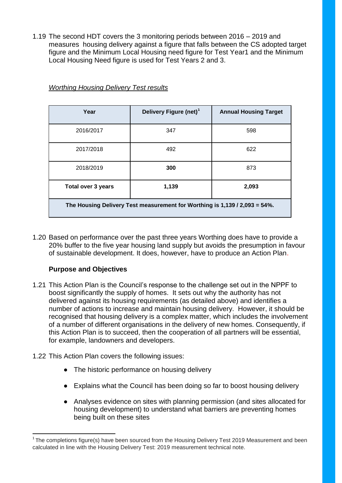1.19 The second HDT covers the 3 monitoring periods between 2016 – 2019 and measures housing delivery against a figure that falls between the CS adopted target figure and the Minimum Local Housing need figure for Test Year1 and the Minimum Local Housing Need figure is used for Test Years 2 and 3.

| Year                                                                       | Delivery Figure (net) <sup>1</sup> | <b>Annual Housing Target</b> |  |  |  |  |  |
|----------------------------------------------------------------------------|------------------------------------|------------------------------|--|--|--|--|--|
| 2016/2017                                                                  | 347                                | 598                          |  |  |  |  |  |
| 2017/2018                                                                  | 492                                | 622                          |  |  |  |  |  |
| 2018/2019                                                                  | 300                                | 873                          |  |  |  |  |  |
| <b>Total over 3 years</b>                                                  | 1,139                              | 2,093                        |  |  |  |  |  |
| The Housing Delivery Test measurement for Worthing is 1,139 / 2,093 = 54%. |                                    |                              |  |  |  |  |  |

## *Worthing Housing Delivery Test results*

1.20 Based on performance over the past three years Worthing does have to provide a 20% buffer to the five year housing land supply but avoids the presumption in favour of sustainable development. It does, however, have to produce an Action Plan.

# **Purpose and Objectives**

**.** 

- 1.21 This Action Plan is the Council's response to the challenge set out in the NPPF to boost significantly the supply of homes. It sets out why the authority has not delivered against its housing requirements (as detailed above) and identifies a number of actions to increase and maintain housing delivery. However, it should be recognised that housing delivery is a complex matter, which includes the involvement of a number of different organisations in the delivery of new homes. Consequently, if this Action Plan is to succeed, then the cooperation of all partners will be essential, for example, landowners and developers.
- 1.22 This Action Plan covers the following issues:
	- The historic performance on housing delivery
	- Explains what the Council has been doing so far to boost housing delivery
	- Analyses evidence on sites with planning permission (and sites allocated for housing development) to understand what barriers are preventing homes being built on these sites

 $1$ The completions figure(s) have been sourced from the Housing Delivery Test 2019 Measurement and been calculated in line with the Housing Delivery Test: 2019 measurement technical note.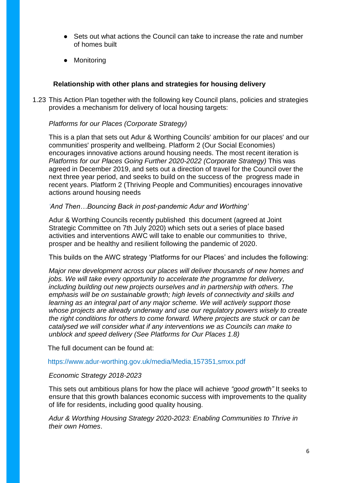- Sets out what actions the Council can take to increase the rate and number of homes built
- Monitoring

## **Relationship with other plans and strategies for housing delivery**

1.23 This Action Plan together with the following key Council plans, policies and strategies provides a mechanism for delivery of local housing targets:

### *Platforms for our Places (Corporate Strategy)*

This is a plan that sets out Adur & Worthing Councils' ambition for our places' and our communities' prosperity and wellbeing. Platform 2 (Our Social Economies) encourages innovative actions around housing needs. The most recent iteration is *Platforms for our Places Going Further 2020-2022 (Corporate Strategy)* This was agreed in December 2019, and sets out a direction of travel for the Council over the next three year period, and seeks to build on the success of the progress made in recent years. Platform 2 (Thriving People and Communities) encourages innovative actions around housing needs

#### *'And Then…Bouncing Back in post-pandemic Adur and Worthing'*

Adur & Worthing Councils recently published this document (agreed at Joint Strategic Committee on 7th July 2020) which sets out a series of place based activities and interventions AWC will take to enable our communities to thrive, prosper and be healthy and resilient following the pandemic of 2020.

This builds on the AWC strategy 'Platforms for our Places' and includes the following:

*Major new development across our places will deliver thousands of new homes and jobs. We will take every opportunity to accelerate the programme for delivery, including building out new projects ourselves and in partnership with others. The emphasis will be on sustainable growth; high levels of connectivity and skills and learning as an integral part of any major scheme. We will actively support those whose projects are already underway and use our regulatory powers wisely to create the right conditions for others to come forward. Where projects are stuck or can be catalysed we will consider what if any interventions we as Councils can make to unblock and speed delivery (See Platforms for Our Places 1.8)*

The full document can be found at:

#### https://www.adur-worthing.gov.uk/media/Media,157351,smxx.pdf

### *Economic Strategy 2018-2023*

This sets out ambitious plans for how the place will achieve *"good growth"* It seeks to ensure that this growth balances economic success with improvements to the quality of life for residents, including good quality housing.

*Adur & Worthing Housing Strategy 2020-2023: Enabling Communities to Thrive in their own Homes*.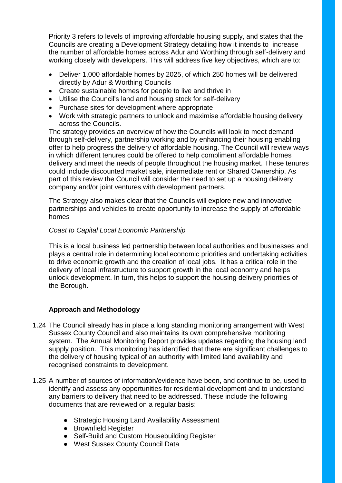Priority 3 refers to levels of improving affordable housing supply, and states that the Councils are creating a Development Strategy detailing how it intends to increase the number of affordable homes across Adur and Worthing through self-delivery and working closely with developers. This will address five key objectives, which are to:

- Deliver 1,000 affordable homes by 2025, of which 250 homes will be delivered directly by Adur & Worthing Councils
- Create sustainable homes for people to live and thrive in
- Utilise the Council's land and housing stock for self-delivery
- Purchase sites for development where appropriate
- Work with strategic partners to unlock and maximise affordable housing delivery across the Councils.

The strategy provides an overview of how the Councils will look to meet demand through self-delivery, partnership working and by enhancing their housing enabling offer to help progress the delivery of affordable housing. The Council will review ways in which different tenures could be offered to help compliment affordable homes delivery and meet the needs of people throughout the housing market. These tenures could include discounted market sale, intermediate rent or Shared Ownership. As part of this review the Council will consider the need to set up a housing delivery company and/or joint ventures with development partners.

The Strategy also makes clear that the Councils will explore new and innovative partnerships and vehicles to create opportunity to increase the supply of affordable homes

## *Coast to Capital Local Economic Partnership*

This is a local business led partnership between local authorities and businesses and plays a central role in determining local economic priorities and undertaking activities to drive economic growth and the creation of local jobs. It has a critical role in the delivery of local infrastructure to support growth in the local economy and helps unlock development. In turn, this helps to support the housing delivery priorities of the Borough.

# **Approach and Methodology**

- 1.24 The Council already has in place a long standing monitoring arrangement with West Sussex County Council and also maintains its own comprehensive monitoring system. The Annual Monitoring Report provides updates regarding the housing land supply position. This monitoring has identified that there are significant challenges to the delivery of housing typical of an authority with limited land availability and recognised constraints to development.
- 1.25 A number of sources of information/evidence have been, and continue to be, used to identify and assess any opportunities for residential development and to understand any barriers to delivery that need to be addressed. These include the following documents that are reviewed on a regular basis:
	- Strategic Housing Land Availability Assessment
	- Brownfield Register
	- Self-Build and Custom Housebuilding Register
	- West Sussex County Council Data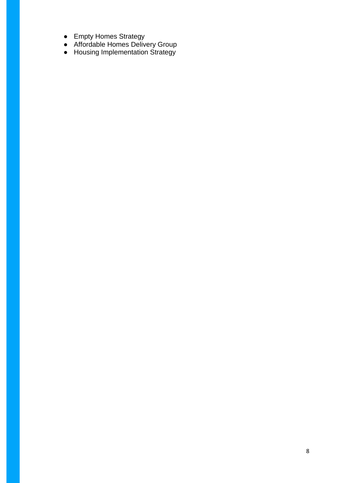- Empty Homes Strategy
- Affordable Homes Delivery Group
- Housing Implementation Strategy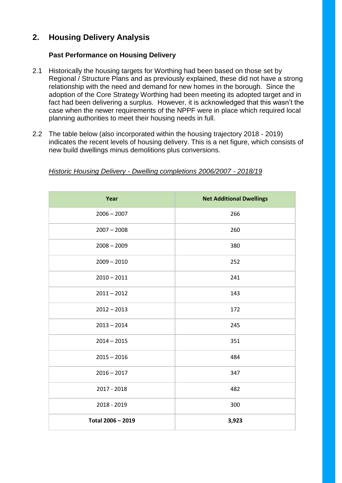# **2. Housing Delivery Analysis**

# **Past Performance on Housing Delivery**

- 2.1 Historically the housing targets for Worthing had been based on those set by Regional / Structure Plans and as previously explained, these did not have a strong relationship with the need and demand for new homes in the borough. Since the adoption of the Core Strategy Worthing had been meeting its adopted target and in fact had been delivering a surplus. However, it is acknowledged that this wasn't the case when the newer requirements of the NPPF were in place which required local planning authorities to meet their housing needs in full.
- 2.2 The table below (also incorporated within the housing trajectory 2018 2019) indicates the recent levels of housing delivery. This is a net figure, which consists of new build dwellings minus demolitions plus conversions.

| Year              | <b>Net Additional Dwellings</b> |
|-------------------|---------------------------------|
| $2006 - 2007$     | 266                             |
| $2007 - 2008$     | 260                             |
| $2008 - 2009$     | 380                             |
| $2009 - 2010$     | 252                             |
| $2010 - 2011$     | 241                             |
| $2011 - 2012$     | 143                             |
| $2012 - 2013$     | 172                             |
| $2013 - 2014$     | 245                             |
| $2014 - 2015$     | 351                             |
| $2015 - 2016$     | 484                             |
| $2016 - 2017$     | 347                             |
| 2017 - 2018       | 482                             |
| 2018 - 2019       | 300                             |
| Total 2006 - 2019 | 3,923                           |

#### *Historic Housing Delivery - Dwelling completions 2006/2007 - 2018/19*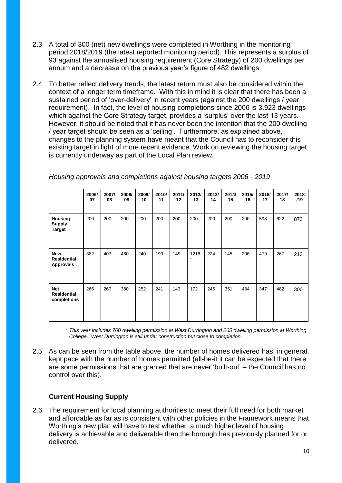- 2.3 A total of 300 (net) new dwellings were completed in Worthing in the monitoring period 2018/2019 (the latest reported monitoring period). This represents a surplus of 93 against the annualised housing requirement (Core Strategy) of 200 dwellings per annum and a decrease on the previous year's figure of 482 dwellings.
- 2.4 To better reflect delivery trends, the latest return must also be considered within the context of a longer term timeframe. With this in mind it is clear that there has been a sustained period of 'over-delivery' in recent years (against the 200 dwellings / year requirement). In fact, the level of housing completions since 2006 is 3,923 dwellings which against the Core Strategy target, provides a 'surplus' over the last 13 years. However, it should be noted that it has never been the intention that the 200 dwelling / year target should be seen as a 'ceiling'. Furthermore, as explained above, changes to the planning system have meant that the Council has to reconsider this existing target in light of more recent evidence. Work on reviewing the housing target is currently underway as part of the Local Plan review.

|                                                      | 2006/<br>07 | 2007/<br>08 | 2008/<br>09 | 2009/<br>10 | 2010/<br>11 | 2011/<br>12 | 2012/<br>13     | 2013/<br>14 | 2014/<br>15 | 2015/<br>16 | 2016/<br>17 | 2017/<br>18 | 2018<br>/19 |
|------------------------------------------------------|-------------|-------------|-------------|-------------|-------------|-------------|-----------------|-------------|-------------|-------------|-------------|-------------|-------------|
| <b>Housing</b><br><b>Supply</b><br><b>Target</b>     | 200         | 200         | 200         | 200         | 200         | 200         | 200             | 200         | 200         | 200         | 598         | 622         | 873         |
| <b>New</b><br><b>Residential</b><br><b>Approvals</b> | 382         | 407         | 460         | 240         | 193         | 149         | 1216<br>$\star$ | 224         | 145         | 206         | 479         | 267         | 213         |
| <b>Net</b><br><b>Residential</b><br>completions      | 266         | 260         | 380         | 252         | 241         | 143         | 172             | 245         | 351         | 484         | 347         | 482         | 300         |

*Housing approvals and completions against housing targets 2006 - 2019*

*\* This year includes 700 dwelling permission at West Durrington and 265 dwelling permission at Worthing College. West Durrington is still under construction but close to completion.*

2.5 As can be seen from the table above, the number of homes delivered has, in general, kept pace with the number of homes permitted (all-be-it it can be expected that there are some permissions that are granted that are never 'built-out' – the Council has no control over this).

# **Current Housing Supply**

2.6 The requirement for local planning authorities to meet their full need for both market and affordable as far as is consistent with other policies in the Framework means that Worthing's new plan will have to test whether a much higher level of housing delivery is achievable and deliverable than the borough has previously planned for or delivered.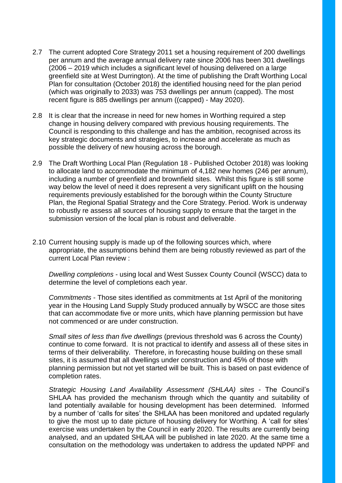- 2.7 The current adopted Core Strategy 2011 set a housing requirement of 200 dwellings per annum and the average annual delivery rate since 2006 has been 301 dwellings (2006 – 2019 which includes a significant level of housing delivered on a large greenfield site at West Durrington). At the time of publishing the Draft Worthing Local Plan for consultation (October 2018) the identified housing need for the plan period (which was originally to 2033) was 753 dwellings per annum (capped). The most recent figure is 885 dwellings per annum ((capped) - May 2020).
- 2.8 It is clear that the increase in need for new homes in Worthing required a step change in housing delivery compared with previous housing requirements. The Council is responding to this challenge and has the ambition, recognised across its key strategic documents and strategies, to increase and accelerate as much as possible the delivery of new housing across the borough.
- 2.9 The Draft Worthing Local Plan (Regulation 18 Published October 2018) was looking to allocate land to accommodate the minimum of 4,182 new homes (246 per annum), including a number of greenfield and brownfield sites. Whilst this figure is still some way below the level of need it does represent a very significant uplift on the housing requirements previously established for the borough within the County Structure Plan, the Regional Spatial Strategy and the Core Strategy. Period. Work is underway to robustly re assess all sources of housing supply to ensure that the target in the submission version of the local plan is robust and deliverable.
- 2.10 Current housing supply is made up of the following sources which, where appropriate, the assumptions behind them are being robustly reviewed as part of the current Local Plan review :

*Dwelling completions* - using local and West Sussex County Council (WSCC) data to determine the level of completions each year.

*Commitments* - Those sites identified as commitments at 1st April of the monitoring year in the Housing Land Supply Study produced annually by WSCC are those sites that can accommodate five or more units, which have planning permission but have not commenced or are under construction.

*Small sites of less than five dwellings* (previous threshold was 6 across the County) continue to come forward. It is not practical to identify and assess all of these sites in terms of their deliverability. Therefore, in forecasting house building on these small sites, it is assumed that all dwellings under construction and 45% of those with planning permission but not yet started will be built. This is based on past evidence of completion rates.

*Strategic Housing Land Availability Assessment (SHLAA) sites* - The Council's SHLAA has provided the mechanism through which the quantity and suitability of land potentially available for housing development has been determined. Informed by a number of 'calls for sites' the SHLAA has been monitored and updated regularly to give the most up to date picture of housing delivery for Worthing. A 'call for sites' exercise was undertaken by the Council in early 2020. The results are currently being analysed, and an updated SHLAA will be published in late 2020. At the same time a consultation on the methodology was undertaken to address the updated NPPF and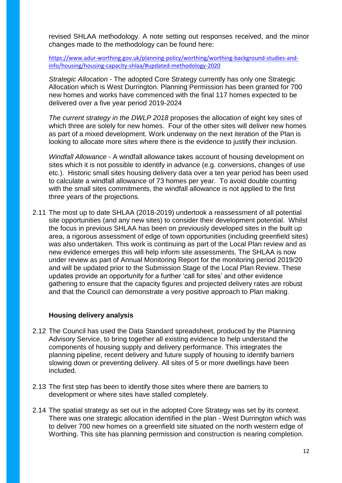revised SHLAA methodology. A note setting out responses received, and the minor changes made to the methodology can be found here:

[https://www.adur-worthing.gov.uk/planning-policy/worthing/worthing-background-studies-and](https://www.adur-worthing.gov.uk/planning-policy/worthing/worthing-background-studies-and-info/housing/housing-capacity-shlaa/#updated-methodology-2020)[info/housing/housing-capacity-shlaa/#updated-methodology-2020](https://www.adur-worthing.gov.uk/planning-policy/worthing/worthing-background-studies-and-info/housing/housing-capacity-shlaa/#updated-methodology-2020)

*Strategic Allocation* - The adopted Core Strategy currently has only one Strategic Allocation which is West Durrington. Planning Permission has been granted for 700 new homes and works have commenced with the final 117 homes expected to be delivered over a five year period 2019-2024

*The current strategy in the DWLP 2018* proposes the allocation of eight key sites of which three are solely for new homes. Four of the other sites will deliver new homes as part of a mixed development. Work underway on the next iteration of the Plan is looking to allocate more sites where there is the evidence to justify their inclusion.

*Windfall Allowance* - A windfall allowance takes account of housing development on sites which it is not possible to identify in advance (e.g. conversions, changes of use etc.). Historic small sites housing delivery data over a ten year period has been used to calculate a windfall allowance of 73 homes per year. To avoid double counting with the small sites commitments, the windfall allowance is not applied to the first three years of the projections.

2.11 The most up to date SHLAA (2018-2019) undertook a reassessment of all potential site opportunities (and any new sites) to consider their development potential. Whilst the focus in previous SHLAA has been on previously developed sites in the built up area, a rigorous assessment of edge of town opportunities (including greenfield sites) was also undertaken. This work is continuing as part of the Local Plan review and as new evidence emerges this will help inform site assessments. The SHLAA is now under review as part of Annual Monitoring Report for the monitoring period 2019/20 and will be updated prior to the Submission Stage of the Local Plan Review. These updates provide an opportunity for a further 'call for sites' and other evidence gathering to ensure that the capacity figures and projected delivery rates are robust and that the Council can demonstrate a very positive approach to Plan making.

### **Housing delivery analysis**

- 2.12 The Council has used the Data Standard spreadsheet, produced by the Planning Advisory Service, to bring together all existing evidence to help understand the components of housing supply and delivery performance. This integrates the planning pipeline, recent delivery and future supply of housing to identify barriers slowing down or preventing delivery. All sites of 5 or more dwellings have been included.
- 2.13 The first step has been to identify those sites where there are barriers to development or where sites have stalled completely.
- 2.14 The spatial strategy as set out in the adopted Core Strategy was set by its context. There was one strategic allocation identified in the plan - West Durrington which was to deliver 700 new homes on a greenfield site situated on the north western edge of Worthing. This site has planning permission and construction is nearing completion.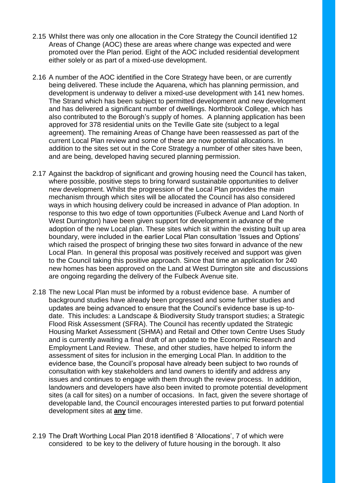- 2.15 Whilst there was only one allocation in the Core Strategy the Council identified 12 Areas of Change (AOC) these are areas where change was expected and were promoted over the Plan period. Eight of the AOC included residential development either solely or as part of a mixed-use development.
- 2.16 A number of the AOC identified in the Core Strategy have been, or are currently being delivered. These include the Aquarena, which has planning permission, and development is underway to deliver a mixed-use development with 141 new homes. The Strand which has been subject to permitted development and new development and has delivered a significant number of dwellings. Northbrook College, which has also contributed to the Borough's supply of homes. A planning application has been approved for 378 residential units on the Teville Gate site (subject to a legal agreement). The remaining Areas of Change have been reassessed as part of the current Local Plan review and some of these are now potential allocations. In addition to the sites set out in the Core Strategy a number of other sites have been, and are being, developed having secured planning permission.
- 2.17 Against the backdrop of significant and growing housing need the Council has taken, where possible, positive steps to bring forward sustainable opportunities to deliver new development. Whilst the progression of the Local Plan provides the main mechanism through which sites will be allocated the Council has also considered ways in which housing delivery could be increased in advance of Plan adoption. In response to this two edge of town opportunities (Fulbeck Avenue and Land North of West Durrington) have been given support for development in advance of the adoption of the new Local plan. These sites which sit within the existing built up area boundary, were included in the earlier Local Plan consultation 'Issues and Options' which raised the prospect of bringing these two sites forward in advance of the new Local Plan. In general this proposal was positively received and support was given to the Council taking this positive approach. Since that time an application for 240 new homes has been approved on the Land at West Durrington site and discussions are ongoing regarding the delivery of the Fulbeck Avenue site.
- 2.18 The new Local Plan must be informed by a robust evidence base. A number of background studies have already been progressed and some further studies and updates are being advanced to ensure that the Council's evidence base is up-todate. This includes: a Landscape & Biodiversity Study transport studies; a Strategic Flood Risk Assessment (SFRA). The Council has recently updated the Strategic Housing Market Assessment (SHMA) and Retail and Other town Centre Uses Study and is currently awaiting a final draft of an update to the Economic Research and Employment Land Review. These, and other studies, have helped to inform the assessment of sites for inclusion in the emerging Local Plan. In addition to the evidence base, the Council's proposal have already been subject to two rounds of consultation with key stakeholders and land owners to identify and address any issues and continues to engage with them through the review process. In addition, landowners and developers have also been invited to promote potential development sites (a call for sites) on a number of occasions. In fact, given the severe shortage of developable land, the Council encourages interested parties to put forward potential development sites at **any** time.
- 2.19 The Draft Worthing Local Plan 2018 identified 8 'Allocations', 7 of which were considered to be key to the delivery of future housing in the borough. It also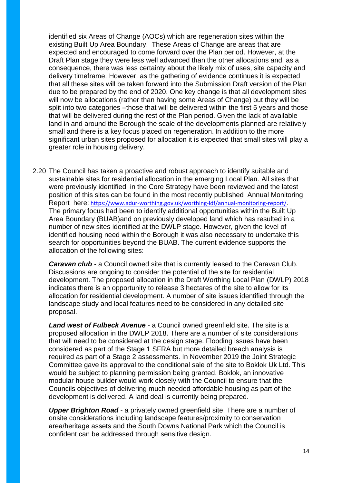identified six Areas of Change (AOCs) which are regeneration sites within the existing Built Up Area Boundary. These Areas of Change are areas that are expected and encouraged to come forward over the Plan period. However, at the Draft Plan stage they were less well advanced than the other allocations and, as a consequence, there was less certainty about the likely mix of uses, site capacity and delivery timeframe. However, as the gathering of evidence continues it is expected that all these sites will be taken forward into the Submission Draft version of the Plan due to be prepared by the end of 2020. One key change is that all development sites will now be allocations (rather than having some Areas of Change) but they will be split into two categories –those that will be delivered within the first 5 years and those that will be delivered during the rest of the Plan period. Given the lack of available land in and around the Borough the scale of the developments planned are relatively small and there is a key focus placed on regeneration. In addition to the more significant urban sites proposed for allocation it is expected that small sites will play a greater role in housing delivery.

2.20 The Council has taken a proactive and robust approach to identify suitable and sustainable sites for residential allocation in the emerging Local Plan. All sites that were previously identified in the Core Strategy have been reviewed and the latest position of this sites can be found in the most recently published Annual Monitoring Report here: [https://www.adur-worthing.gov.uk/worthing-ldf/annual-monitoring-report/.](https://www.adur-worthing.gov.uk/worthing-ldf/annual-monitoring-report/) The primary focus had been to identify additional opportunities within the Built Up Area Boundary (BUAB)and on previously developed land which has resulted in a number of new sites identified at the DWLP stage. However, given the level of identified housing need within the Borough it was also necessary to undertake this search for opportunities beyond the BUAB. The current evidence supports the allocation of the following sites:

*Caravan club* - a Council owned site that is currently leased to the Caravan Club. Discussions are ongoing to consider the potential of the site for residential development. The proposed allocation in the Draft Worthing Local Plan (DWLP) 2018 indicates there is an opportunity to release 3 hectares of the site to allow for its allocation for residential development. A number of site issues identified through the landscape study and local features need to be considered in any detailed site proposal.

*Land west of Fulbeck Avenue* - a Council owned greenfield site. The site is a proposed allocation in the DWLP 2018. There are a number of site considerations that will need to be considered at the design stage. Flooding issues have been considered as part of the Stage 1 SFRA but more detailed breach analysis is required as part of a Stage 2 assessments. In November 2019 the Joint Strategic Committee gave its approval to the conditional sale of the site to Boklok Uk Ltd. This would be subject to planning permission being granted. Boklok, an innovative modular house builder would work closely with the Council to ensure that the Councils objectives of delivering much needed affordable housing as part of the development is delivered. A land deal is currently being prepared.

**Upper Brighton Road** - a privately owned greenfield site. There are a number of onsite considerations including landscape features/proximity to conservation area/heritage assets and the South Downs National Park which the Council is confident can be addressed through sensitive design.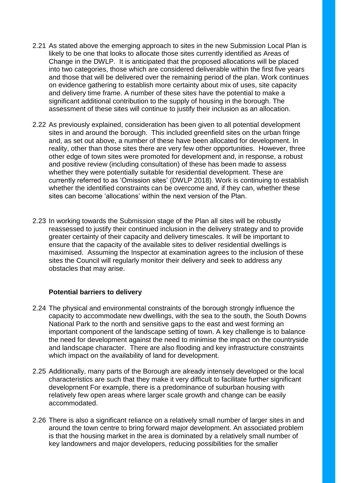- 2.21 As stated above the emerging approach to sites in the new Submission Local Plan is likely to be one that looks to allocate those sites currently identified as Areas of Change in the DWLP. It is anticipated that the proposed allocations will be placed into two categories, those which are considered deliverable within the first five years and those that will be delivered over the remaining period of the plan. Work continues on evidence gathering to establish more certainty about mix of uses, site capacity and delivery time frame. A number of these sites have the potential to make a significant additional contribution to the supply of housing in the borough. The assessment of these sites will continue to justify their inclusion as an allocation.
- 2.22 As previously explained, consideration has been given to all potential development sites in and around the borough. This included greenfield sites on the urban fringe and, as set out above, a number of these have been allocated for development. In reality, other than those sites there are very few other opportunities. However, three other edge of town sites were promoted for development and, in response, a robust and positive review (including consultation) of these has been made to assess whether they were potentially suitable for residential development. These are currently referred to as 'Omission sites' (DWLP 2018). Work is continuing to establish whether the identified constraints can be overcome and, if they can, whether these sites can become 'allocations' within the next version of the Plan.
- 2.23 In working towards the Submission stage of the Plan all sites will be robustly reassessed to justify their continued inclusion in the delivery strategy and to provide greater certainty of their capacity and delivery timescales. It will be important to ensure that the capacity of the available sites to deliver residential dwellings is maximised. Assuming the Inspector at examination agrees to the inclusion of these sites the Council will regularly monitor their delivery and seek to address any obstacles that may arise.

### **Potential barriers to delivery**

- 2.24 The physical and environmental constraints of the borough strongly influence the capacity to accommodate new dwellings, with the sea to the south, the South Downs National Park to the north and sensitive gaps to the east and west forming an important component of the landscape setting of town. A key challenge is to balance the need for development against the need to minimise the impact on the countryside and landscape character. There are also flooding and key infrastructure constraints which impact on the availability of land for development.
- 2.25 Additionally, many parts of the Borough are already intensely developed or the local characteristics are such that they make it very difficult to facilitate further significant development For example, there is a predominance of suburban housing with relatively few open areas where larger scale growth and change can be easily accommodated.
- 2.26 There is also a significant reliance on a relatively small number of larger sites in and around the town centre to bring forward major development. An associated problem is that the housing market in the area is dominated by a relatively small number of key landowners and major developers, reducing possibilities for the smaller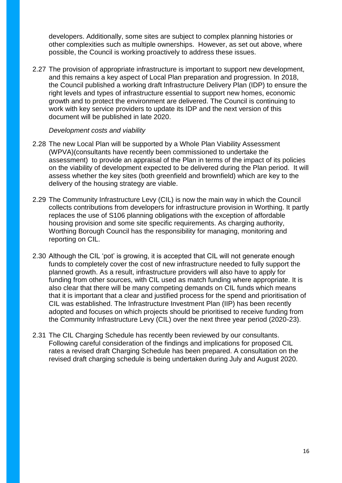developers. Additionally, some sites are subject to complex planning histories or other complexities such as multiple ownerships. However, as set out above, where possible, the Council is working proactively to address these issues.

2.27 The provision of appropriate infrastructure is important to support new development, and this remains a key aspect of Local Plan preparation and progression. In 2018, the Council published a working draft Infrastructure Delivery Plan (IDP) to ensure the right levels and types of infrastructure essential to support new homes, economic growth and to protect the environment are delivered. The Council is continuing to work with key service providers to update its IDP and the next version of this document will be published in late 2020.

#### *Development costs and viability*

- 2.28 The new Local Plan will be supported by a Whole Plan Viability Assessment (WPVA)(consultants have recently been commissioned to undertake the assessment) to provide an appraisal of the Plan in terms of the impact of its policies on the viability of development expected to be delivered during the Plan period. It will assess whether the key sites (both greenfield and brownfield) which are key to the delivery of the housing strategy are viable.
- 2.29 The Community Infrastructure Levy (CIL) is now the main way in which the Council collects contributions from developers for infrastructure provision in Worthing. It partly replaces the use of S106 planning obligations with the exception of affordable housing provision and some site specific requirements. As charging authority, Worthing Borough Council has the responsibility for managing, monitoring and reporting on CIL.
- 2.30 Although the CIL 'pot' is growing, it is accepted that CIL will not generate enough funds to completely cover the cost of new infrastructure needed to fully support the planned growth. As a result, infrastructure providers will also have to apply for funding from other sources, with CIL used as match funding where appropriate. It is also clear that there will be many competing demands on CIL funds which means that it is important that a clear and justified process for the spend and prioritisation of CIL was established. The Infrastructure Investment Plan (IIP) has been recently adopted and focuses on which projects should be prioritised to receive funding from the Community Infrastructure Levy (CIL) over the next three year period (2020-23).
- 2.31 The CIL Charging Schedule has recently been reviewed by our consultants. Following careful consideration of the findings and implications for proposed CIL rates a revised draft Charging Schedule has been prepared. A consultation on the revised draft charging schedule is being undertaken during July and August 2020.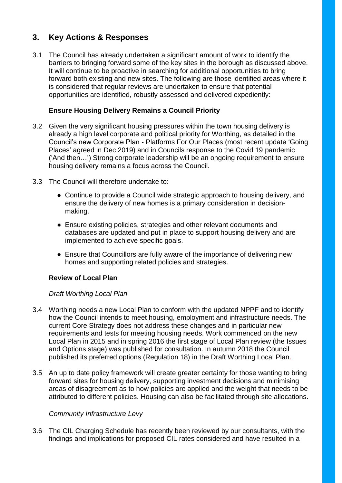# **3. Key Actions & Responses**

3.1 The Council has already undertaken a significant amount of work to identify the barriers to bringing forward some of the key sites in the borough as discussed above. It will continue to be proactive in searching for additional opportunities to bring forward both existing and new sites. The following are those identified areas where it is considered that regular reviews are undertaken to ensure that potential opportunities are identified, robustly assessed and delivered expediently:

# **Ensure Housing Delivery Remains a Council Priority**

- 3.2 Given the very significant housing pressures within the town housing delivery is already a high level corporate and political priority for Worthing, as detailed in the Council's new Corporate Plan - Platforms For Our Places (most recent update 'Going Places' agreed in Dec 2019) and in Councils response to the Covid 19 pandemic ('And then…') Strong corporate leadership will be an ongoing requirement to ensure housing delivery remains a focus across the Council.
- 3.3 The Council will therefore undertake to:
	- Continue to provide a Council wide strategic approach to housing delivery, and ensure the delivery of new homes is a primary consideration in decisionmaking.
	- Ensure existing policies, strategies and other relevant documents and databases are updated and put in place to support housing delivery and are implemented to achieve specific goals.
	- Ensure that Councillors are fully aware of the importance of delivering new homes and supporting related policies and strategies.

# **Review of Local Plan**

# *Draft Worthing Local Plan*

- 3.4 Worthing needs a new Local Plan to conform with the updated NPPF and to identify how the Council intends to meet housing, employment and infrastructure needs. The current Core Strategy does not address these changes and in particular new requirements and tests for meeting housing needs. Work commenced on the new Local Plan in 2015 and in spring 2016 the first stage of Local Plan review (the Issues and Options stage) was published for consultation. In autumn 2018 the Council published its preferred options (Regulation 18) in the Draft Worthing Local Plan.
- 3.5 An up to date policy framework will create greater certainty for those wanting to bring forward sites for housing delivery, supporting investment decisions and minimising areas of disagreement as to how policies are applied and the weight that needs to be attributed to different policies. Housing can also be facilitated through site allocations.

# *Community Infrastructure Levy*

3.6 The CIL Charging Schedule has recently been reviewed by our consultants, with the findings and implications for proposed CIL rates considered and have resulted in a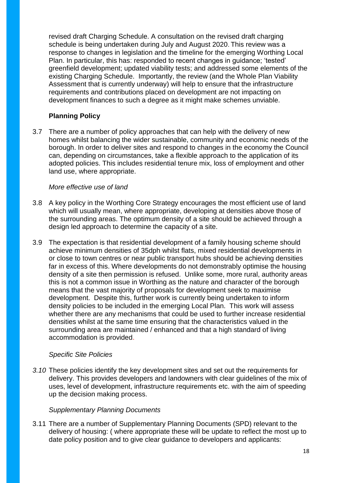revised draft Charging Schedule. A consultation on the revised draft charging schedule is being undertaken during July and August 2020. This review was a response to changes in legislation and the timeline for the emerging Worthing Local Plan. In particular, this has: responded to recent changes in guidance; 'tested' greenfield development; updated viability tests; and addressed some elements of the existing Charging Schedule. Importantly, the review (and the Whole Plan Viability Assessment that is currently underway) will help to ensure that the infrastructure requirements and contributions placed on development are not impacting on development finances to such a degree as it might make schemes unviable.

# **Planning Policy**

3.7 There are a number of policy approaches that can help with the delivery of new homes whilst balancing the wider sustainable, community and economic needs of the borough. In order to deliver sites and respond to changes in the economy the Council can, depending on circumstances, take a flexible approach to the application of its adopted policies. This includes residential tenure mix, loss of employment and other land use, where appropriate.

## *More effective use of land*

- 3.8 A key policy in the Worthing Core Strategy encourages the most efficient use of land which will usually mean, where appropriate, developing at densities above those of the surrounding areas. The optimum density of a site should be achieved through a design led approach to determine the capacity of a site.
- 3.9 The expectation is that residential development of a family housing scheme should achieve minimum densities of 35dph whilst flats, mixed residential developments in or close to town centres or near public transport hubs should be achieving densities far in excess of this. Where developments do not demonstrably optimise the housing density of a site then permission is refused. Unlike some, more rural, authority areas this is not a common issue in Worthing as the nature and character of the borough means that the vast majority of proposals for development seek to maximise development. Despite this, further work is currently being undertaken to inform density policies to be included in the emerging Local Plan. This work will assess whether there are any mechanisms that could be used to further increase residential densities whilst at the same time ensuring that the characteristics valued in the surrounding area are maintained / enhanced and that a high standard of living accommodation is provided.

### *Specific Site Policies*

*3.10* These policies identify the key development sites and set out the requirements for delivery. This provides developers and landowners with clear guidelines of the mix of uses, level of development, infrastructure requirements etc. with the aim of speeding up the decision making process.

# *Supplementary Planning Documents*

3.11 There are a number of Supplementary Planning Documents (SPD) relevant to the delivery of housing: ( where appropriate these will be update to reflect the most up to date policy position and to give clear guidance to developers and applicants: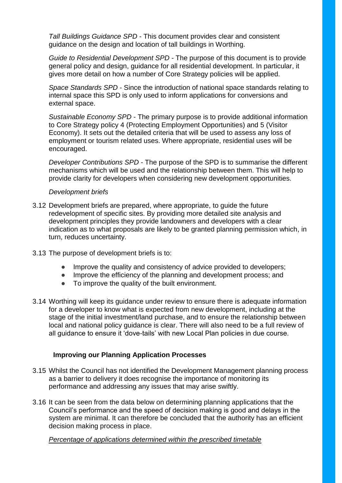*Tall Buildings Guidance SPD* - This document provides clear and consistent guidance on the design and location of tall buildings in Worthing.

*Guide to Residential Development SPD* - The purpose of this document is to provide general policy and design, guidance for all residential development. In particular, it gives more detail on how a number of Core Strategy policies will be applied.

*Space Standards SPD* - Since the introduction of national space standards relating to internal space this SPD is only used to inform applications for conversions and external space.

*Sustainable Economy SPD* - The primary purpose is to provide additional information to Core Strategy policy 4 (Protecting Employment Opportunities) and 5 (Visitor Economy). It sets out the detailed criteria that will be used to assess any loss of employment or tourism related uses. Where appropriate, residential uses will be encouraged.

*Developer Contributions SPD* - The purpose of the SPD is to summarise the different mechanisms which will be used and the relationship between them. This will help to provide clarity for developers when considering new development opportunities.

#### *Development briefs*

- 3.12 Development briefs are prepared, where appropriate, to guide the future redevelopment of specific sites. By providing more detailed site analysis and development principles they provide landowners and developers with a clear indication as to what proposals are likely to be granted planning permission which, in turn, reduces uncertainty.
- 3.13 The purpose of development briefs is to:
	- Improve the quality and consistency of advice provided to developers;
	- Improve the efficiency of the planning and development process; and
	- To improve the quality of the built environment.
- 3.14 Worthing will keep its guidance under review to ensure there is adequate information for a developer to know what is expected from new development, including at the stage of the initial investment/land purchase, and to ensure the relationship between local and national policy guidance is clear. There will also need to be a full review of all guidance to ensure it 'dove-tails' with new Local Plan policies in due course.

# **Improving our Planning Application Processes**

- 3.15 Whilst the Council has not identified the Development Management planning process as a barrier to delivery it does recognise the importance of monitoring its performance and addressing any issues that may arise swiftly.
- 3.16 It can be seen from the data below on determining planning applications that the Council's performance and the speed of decision making is good and delays in the system are minimal. It can therefore be concluded that the authority has an efficient decision making process in place.

### *Percentage of applications determined within the prescribed timetable*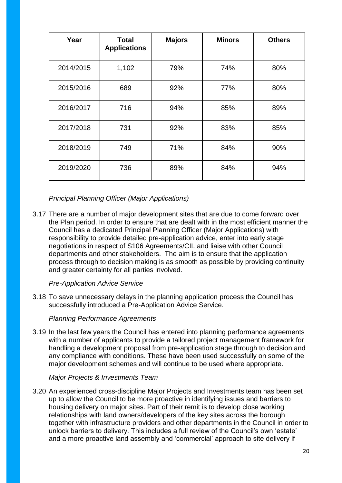| Year      | <b>Total</b><br><b>Applications</b> | <b>Majors</b> | <b>Minors</b> | <b>Others</b> |
|-----------|-------------------------------------|---------------|---------------|---------------|
| 2014/2015 | 1,102                               | 79%           | 74%           | 80%           |
| 2015/2016 | 689                                 | 92%           | 77%           | 80%           |
| 2016/2017 | 716                                 | 94%           | 85%           | 89%           |
| 2017/2018 | 731                                 | 92%           | 83%           | 85%           |
| 2018/2019 | 749                                 | 71%           | 84%           | 90%           |
| 2019/2020 | 736                                 | 89%           | 84%           | 94%           |

*Principal Planning Officer (Major Applications)* 

3.17 There are a number of major development sites that are due to come forward over the Plan period. In order to ensure that are dealt with in the most efficient manner the Council has a dedicated Principal Planning Officer (Major Applications) with responsibility to provide detailed pre-application advice, enter into early stage negotiations in respect of S106 Agreements/CIL and liaise with other Council departments and other stakeholders. The aim is to ensure that the application process through to decision making is as smooth as possible by providing continuity and greater certainty for all parties involved.

*Pre-Application Advice Service*

3.18 To save unnecessary delays in the planning application process the Council has successfully introduced a Pre-Application Advice Service.

# *Planning Performance Agreements*

3.19 In the last few years the Council has entered into planning performance agreements with a number of applicants to provide a tailored project management framework for handling a development proposal from pre-application stage through to decision and any compliance with conditions. These have been used successfully on some of the major development schemes and will continue to be used where appropriate.

### *Major Projects & Investments Team*

3.20 An experienced cross-discipline Major Projects and Investments team has been set up to allow the Council to be more proactive in identifying issues and barriers to housing delivery on major sites. Part of their remit is to develop close working relationships with land owners/developers of the key sites across the borough together with infrastructure providers and other departments in the Council in order to unlock barriers to delivery. This includes a full review of the Council's own 'estate' and a more proactive land assembly and 'commercial' approach to site delivery if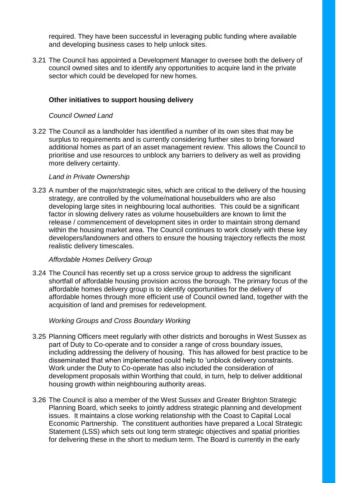required. They have been successful in leveraging public funding where available and developing business cases to help unlock sites.

3.21 The Council has appointed a Development Manager to oversee both the delivery of council owned sites and to identify any opportunities to acquire land in the private sector which could be developed for new homes.

## **Other initiatives to support housing delivery**

#### *Council Owned Land*

3.22 The Council as a landholder has identified a number of its own sites that may be surplus to requirements and is currently considering further sites to bring forward additional homes as part of an asset management review. This allows the Council to prioritise and use resources to unblock any barriers to delivery as well as providing more delivery certainty.

#### *Land in Private Ownership*

3.23 A number of the major/strategic sites, which are critical to the delivery of the housing strategy, are controlled by the volume/national housebuilders who are also developing large sites in neighbouring local authorities. This could be a significant factor in slowing delivery rates as volume housebuilders are known to limit the release / commencement of development sites in order to maintain strong demand within the housing market area. The Council continues to work closely with these key developers/landowners and others to ensure the housing trajectory reflects the most realistic delivery timescales.

### *Affordable Homes Delivery Group*

3.24 The Council has recently set up a cross service group to address the significant shortfall of affordable housing provision across the borough. The primary focus of the affordable homes delivery group is to identify opportunities for the delivery of affordable homes through more efficient use of Council owned land, together with the acquisition of land and premises for redevelopment.

### *Working Groups and Cross Boundary Working*

- 3.25 Planning Officers meet regularly with other districts and boroughs in West Sussex as part of Duty to Co-operate and to consider a range of cross boundary issues, including addressing the delivery of housing. This has allowed for best practice to be disseminated that when implemented could help to 'unblock delivery constraints. Work under the Duty to Co-operate has also included the consideration of development proposals within Worthing that could, in turn, help to deliver additional housing growth within neighbouring authority areas.
- 3.26 The Council is also a member of the West Sussex and Greater Brighton Strategic Planning Board, which seeks to jointly address strategic planning and development issues. It maintains a close working relationship with the Coast to Capital Local Economic Partnership. The constituent authorities have prepared a Local Strategic Statement (LSS) which sets out long term strategic objectives and spatial priorities for delivering these in the short to medium term. The Board is currently in the early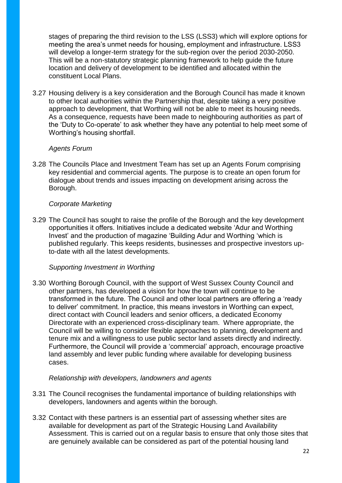stages of preparing the third revision to the LSS (LSS3) which will explore options for meeting the area's unmet needs for housing, employment and infrastructure. LSS3 will develop a longer-term strategy for the sub-region over the period 2030-2050. This will be a non-statutory strategic planning framework to help guide the future location and delivery of development to be identified and allocated within the constituent Local Plans.

3.27 Housing delivery is a key consideration and the Borough Council has made it known to other local authorities within the Partnership that, despite taking a very positive approach to development, that Worthing will not be able to meet its housing needs. As a consequence, requests have been made to neighbouring authorities as part of the 'Duty to Co-operate' to ask whether they have any potential to help meet some of Worthing's housing shortfall.

## *Agents Forum*

3.28 The Councils Place and Investment Team has set up an Agents Forum comprising key residential and commercial agents. The purpose is to create an open forum for dialogue about trends and issues impacting on development arising across the Borough.

### *Corporate Marketing*

3.29 The Council has sought to raise the profile of the Borough and the key development opportunities it offers. Initiatives include a dedicated website 'Adur and Worthing Invest' and the production of magazine 'Building Adur and Worthing 'which is published regularly. This keeps residents, businesses and prospective investors upto-date with all the latest developments.

### *Supporting Investment in Worthing*

3.30 Worthing Borough Council, with the support of West Sussex County Council and other partners, has developed a vision for how the town will continue to be transformed in the future. The Council and other local partners are offering a 'ready to deliver' commitment. In practice, this means investors in Worthing can expect, direct contact with Council leaders and senior officers, a dedicated Economy Directorate with an experienced cross-disciplinary team. Where appropriate, the Council will be willing to consider flexible approaches to planning, development and tenure mix and a willingness to use public sector land assets directly and indirectly. Furthermore, the Council will provide a 'commercial' approach, encourage proactive land assembly and lever public funding where available for developing business cases.

### *Relationship with developers, landowners and agents*

- 3.31 The Council recognises the fundamental importance of building relationships with developers, landowners and agents within the borough.
- 3.32 Contact with these partners is an essential part of assessing whether sites are available for development as part of the Strategic Housing Land Availability Assessment. This is carried out on a regular basis to ensure that only those sites that are genuinely available can be considered as part of the potential housing land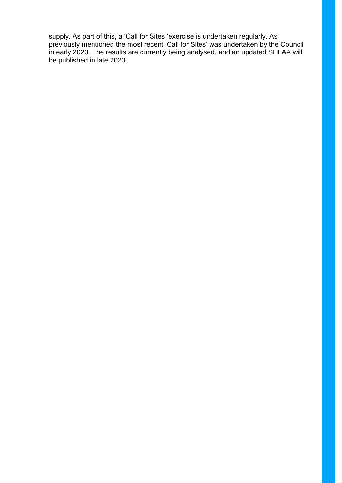supply. As part of this, a 'Call for Sites 'exercise is undertaken regularly. As previously mentioned the most recent 'Call for Sites' was undertaken by the Council in early 2020. The results are currently being analysed, and an updated SHLAA will be published in late 2020.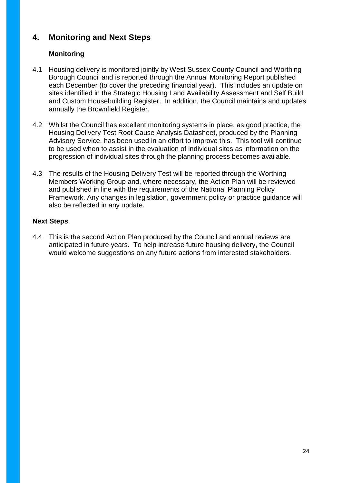# **4. Monitoring and Next Steps**

# **Monitoring**

- 4.1 Housing delivery is monitored jointly by West Sussex County Council and Worthing Borough Council and is reported through the Annual Monitoring Report published each December (to cover the preceding financial year). This includes an update on sites identified in the Strategic Housing Land Availability Assessment and Self Build and Custom Housebuilding Register. In addition, the Council maintains and updates annually the Brownfield Register.
- 4.2 Whilst the Council has excellent monitoring systems in place, as good practice, the Housing Delivery Test Root Cause Analysis Datasheet, produced by the Planning Advisory Service, has been used in an effort to improve this. This tool will continue to be used when to assist in the evaluation of individual sites as information on the progression of individual sites through the planning process becomes available.
- 4.3 The results of the Housing Delivery Test will be reported through the Worthing Members Working Group and, where necessary, the Action Plan will be reviewed and published in line with the requirements of the National Planning Policy Framework. Any changes in legislation, government policy or practice guidance will also be reflected in any update.

# **Next Steps**

4.4 This is the second Action Plan produced by the Council and annual reviews are anticipated in future years. To help increase future housing delivery, the Council would welcome suggestions on any future actions from interested stakeholders.